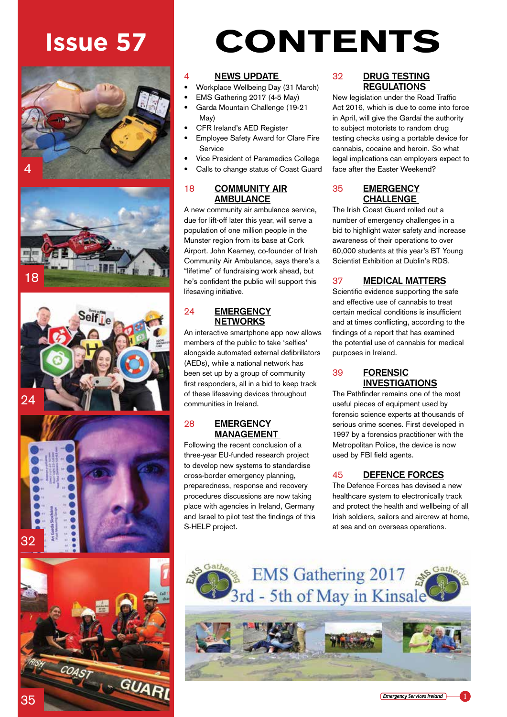









# **Issue 57** CONTENTS

## 4 **NEWS UPDATE**

- Workplace Wellbeing Day (31 March)
- EMS Gathering 2017 (4-5 May)
- Garda Mountain Challenge (19-21 May)
- CFR Ireland's AED Register
- Employee Safety Award for Clare Fire Service
- Vice President of Paramedics College
- Calls to change status of Coast Guard

#### 18 **COMMUNITY AIR AMBULANCE**

A new community air ambulance service, due for lift-off later this year, will serve a population of one million people in the Munster region from its base at Cork Airport. John Kearney, co-founder of Irish Community Air Ambulance, says there's a "lifetime" of fundraising work ahead, but he's confident the public will support this lifesaving initiative.

#### 24 **EMERGENCY NETWORKS**

An interactive smartphone app now allows members of the public to take 'selfies' alongside automated external defibrillators (AEDs), while a national network has been set up by a group of community first responders, all in a bid to keep track of these lifesaving devices throughout communities in Ireland.

#### 28 **EMERGENCY MANAGEMENT**

Following the recent conclusion of a three-year EU-funded research project to develop new systems to standardise cross-border emergency planning, preparedness, response and recovery procedures discussions are now taking place with agencies in Ireland, Germany and Israel to pilot test the findings of this S-HELP project.

#### 32 **DRUG TESTING REGULATIONS**

New legislation under the Road Traffic Act 2016, which is due to come into force in April, will give the Gardaí the authority to subject motorists to random drug testing checks using a portable device for cannabis, cocaine and heroin. So what legal implications can employers expect to face after the Easter Weekend?

### 35 **EMERGENCY CHALLENGE**

The Irish Coast Guard rolled out a number of emergency challenges in a bid to highlight water safety and increase awareness of their operations to over 60,000 students at this year's BT Young Scientist Exhibition at Dublin's RDS.

### 37 **MEDICAL MATTERS**

Scientific evidence supporting the safe and effective use of cannabis to treat certain medical conditions is insufficient and at times conflicting, according to the findings of a report that has examined the potential use of cannabis for medical purposes in Ireland.

#### 39 **FORENSIC INVESTIGATIONS**

The Pathfinder remains one of the most useful pieces of equipment used by forensic science experts at thousands of serious crime scenes. First developed in 1997 by a forensics practitioner with the Metropolitan Police, the device is now used by FBI field agents.

#### 45 **DEFENCE FORCES**

The Defence Forces has devised a new healthcare system to electronically track and protect the health and wellbeing of all Irish soldiers, sailors and aircrew at home, at sea and on overseas operations.